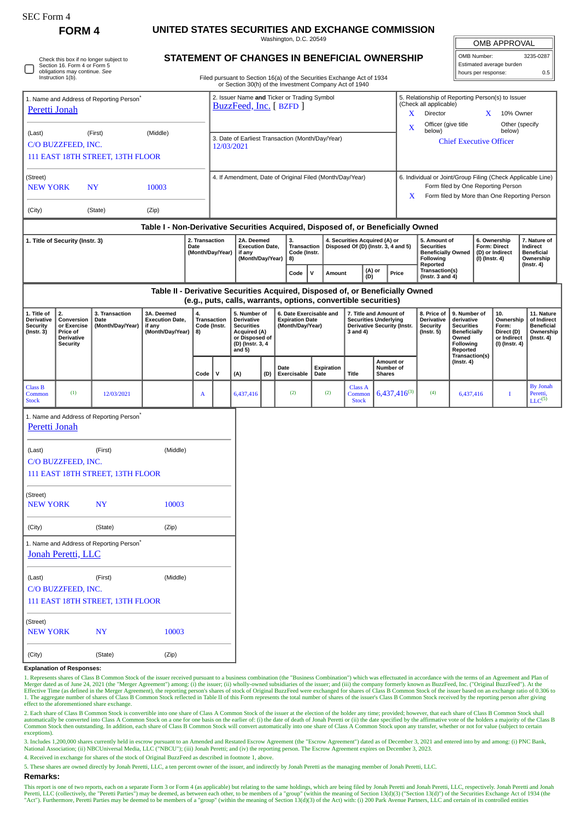| <b>SEC Form 4</b>                                                                                       |                                                                                     |                                                      |                                                                            |                                                          |                                                  |                                                            |                                                      |  |                                                                                                                                  |             |                  |                                                        |                                                                            |                                                                                                   |                                                                                                            |                                                |                                          |                                        |                                                |  |
|---------------------------------------------------------------------------------------------------------|-------------------------------------------------------------------------------------|------------------------------------------------------|----------------------------------------------------------------------------|----------------------------------------------------------|--------------------------------------------------|------------------------------------------------------------|------------------------------------------------------|--|----------------------------------------------------------------------------------------------------------------------------------|-------------|------------------|--------------------------------------------------------|----------------------------------------------------------------------------|---------------------------------------------------------------------------------------------------|------------------------------------------------------------------------------------------------------------|------------------------------------------------|------------------------------------------|----------------------------------------|------------------------------------------------|--|
| <b>FORM4</b>                                                                                            |                                                                                     |                                                      | UNITED STATES SECURITIES AND EXCHANGE COMMISSION<br>Washington, D.C. 20549 |                                                          |                                                  |                                                            |                                                      |  |                                                                                                                                  |             |                  |                                                        |                                                                            |                                                                                                   |                                                                                                            |                                                |                                          |                                        |                                                |  |
|                                                                                                         |                                                                                     |                                                      | STATEMENT OF CHANGES IN BENEFICIAL OWNERSHIP                               |                                                          |                                                  |                                                            |                                                      |  |                                                                                                                                  |             |                  |                                                        |                                                                            |                                                                                                   |                                                                                                            |                                                | OMB APPROVAL<br>OMB Number:<br>3235-0287 |                                        |                                                |  |
| Check this box if no longer subject to<br>Section 16. Form 4 or Form 5<br>obligations may continue. See |                                                                                     |                                                      |                                                                            |                                                          |                                                  |                                                            |                                                      |  |                                                                                                                                  |             |                  |                                                        | Estimated average burden<br>hours per response:                            |                                                                                                   |                                                                                                            | 0.5                                            |                                          |                                        |                                                |  |
|                                                                                                         | Instruction 1(b).                                                                   |                                                      |                                                                            |                                                          |                                                  |                                                            |                                                      |  | Filed pursuant to Section 16(a) of the Securities Exchange Act of 1934<br>or Section 30(h) of the Investment Company Act of 1940 |             |                  |                                                        |                                                                            |                                                                                                   |                                                                                                            |                                                |                                          |                                        |                                                |  |
| 1. Name and Address of Reporting Person <sup>®</sup><br>Peretti Jonah                                   |                                                                                     |                                                      |                                                                            |                                                          |                                                  |                                                            |                                                      |  | 2. Issuer Name and Ticker or Trading Symbol<br>BuzzFeed, Inc. [BZFD]                                                             |             |                  |                                                        | 5. Relationship of Reporting Person(s) to Issuer<br>(Check all applicable) |                                                                                                   |                                                                                                            |                                                |                                          |                                        |                                                |  |
|                                                                                                         |                                                                                     |                                                      |                                                                            |                                                          |                                                  |                                                            |                                                      |  |                                                                                                                                  |             |                  |                                                        |                                                                            |                                                                                                   | Director<br>X.                                                                                             |                                                | X                                        | 10% Owner                              |                                                |  |
| (Middle)<br>(Last)<br>(First)                                                                           |                                                                                     |                                                      |                                                                            |                                                          | 3. Date of Earliest Transaction (Month/Day/Year) |                                                            |                                                      |  |                                                                                                                                  |             |                  |                                                        |                                                                            |                                                                                                   | Officer (give title<br>Other (specify<br>$\mathbf X$<br>below)<br>below)<br><b>Chief Executive Officer</b> |                                                |                                          |                                        |                                                |  |
| C/O BUZZFEED, INC.<br>111 EAST 18TH STREET, 13TH FLOOR                                                  |                                                                                     |                                                      |                                                                            |                                                          | 12/03/2021                                       |                                                            |                                                      |  |                                                                                                                                  |             |                  |                                                        |                                                                            |                                                                                                   |                                                                                                            |                                                |                                          |                                        |                                                |  |
|                                                                                                         |                                                                                     |                                                      |                                                                            |                                                          |                                                  |                                                            |                                                      |  |                                                                                                                                  |             |                  |                                                        |                                                                            |                                                                                                   |                                                                                                            |                                                |                                          |                                        |                                                |  |
| (Street)<br><b>NEW YORK</b><br><b>NY</b><br>10003                                                       |                                                                                     |                                                      |                                                                            | 4. If Amendment, Date of Original Filed (Month/Day/Year) |                                                  |                                                            |                                                      |  |                                                                                                                                  |             |                  |                                                        |                                                                            | 6. Individual or Joint/Group Filing (Check Applicable Line)<br>Form filed by One Reporting Person |                                                                                                            |                                                |                                          |                                        |                                                |  |
|                                                                                                         |                                                                                     |                                                      |                                                                            |                                                          |                                                  |                                                            |                                                      |  |                                                                                                                                  |             |                  | Form filed by More than One Reporting Person<br>X      |                                                                            |                                                                                                   |                                                                                                            |                                                |                                          |                                        |                                                |  |
| (City)                                                                                                  |                                                                                     | (State)                                              | (Zip)                                                                      |                                                          |                                                  |                                                            |                                                      |  |                                                                                                                                  |             |                  |                                                        |                                                                            |                                                                                                   |                                                                                                            |                                                |                                          |                                        |                                                |  |
| Table I - Non-Derivative Securities Acquired, Disposed of, or Beneficially Owned<br>2. Transaction      |                                                                                     |                                                      |                                                                            |                                                          |                                                  |                                                            | 2A. Deemed                                           |  | 3.                                                                                                                               |             |                  |                                                        |                                                                            |                                                                                                   | 5. Amount of                                                                                               |                                                |                                          | 6. Ownership                           | 7. Nature of                                   |  |
| 1. Title of Security (Instr. 3)<br>Date<br>(Month/Day/Year)                                             |                                                                                     |                                                      |                                                                            |                                                          |                                                  |                                                            | <b>Execution Date,</b><br>if any<br>(Month/Day/Year) |  | Transaction<br>Code (Instr.<br>8)                                                                                                |             |                  |                                                        | 4. Securities Acquired (A) or<br>Disposed Of (D) (Instr. 3, 4 and 5)       |                                                                                                   | <b>Securities</b><br><b>Beneficially Owned</b><br><b>Following</b>                                         |                                                | (I) (Instr. 4)                           | <b>Form: Direct</b><br>(D) or Indirect | Indirect<br><b>Beneficial</b><br>Ownership     |  |
|                                                                                                         |                                                                                     |                                                      |                                                                            |                                                          |                                                  |                                                            |                                                      |  | Code                                                                                                                             | $\mathbf v$ | Amount           |                                                        | (A) or                                                                     | Price                                                                                             | Reported<br>Transaction(s)                                                                                 |                                                |                                          |                                        | $($ Instr. 4 $)$                               |  |
|                                                                                                         |                                                                                     |                                                      |                                                                            |                                                          |                                                  |                                                            |                                                      |  | (D)<br>Table II - Derivative Securities Acquired, Disposed of, or Beneficially Owned                                             |             | (Instr. 3 and 4) |                                                        |                                                                            |                                                                                                   |                                                                                                            |                                                |                                          |                                        |                                                |  |
|                                                                                                         |                                                                                     |                                                      |                                                                            |                                                          |                                                  |                                                            |                                                      |  | (e.g., puts, calls, warrants, options, convertible securities)                                                                   |             |                  |                                                        |                                                                            |                                                                                                   |                                                                                                            |                                                |                                          |                                        |                                                |  |
| 1. Title of<br><b>Derivative</b><br><b>Security</b>                                                     | 2.<br>Conversion<br>or Exercise<br>Price of<br><b>Derivative</b><br><b>Security</b> | 3. Transaction<br>Date<br>(Month/Day/Year)           | 3A. Deemed<br><b>Execution Date,</b><br>if any                             | 4.<br><b>Transaction</b><br>Code (Instr.<br>8)           |                                                  |                                                            | 5. Number of<br><b>Derivative</b>                    |  | 6. Date Exercisable and<br><b>Expiration Date</b><br>(Month/Day/Year)                                                            |             |                  | 7. Title and Amount of<br><b>Securities Underlying</b> |                                                                            |                                                                                                   | 8. Price of<br><b>Derivative</b>                                                                           |                                                | 9. Number of<br>derivative               | 10.<br>Ownership<br>Form:              | 11. Nature<br>of Indirect<br><b>Beneficial</b> |  |
| $($ Instr. 3 $)$                                                                                        |                                                                                     |                                                      | (Month/Day/Year)                                                           |                                                          |                                                  | <b>Securities</b><br><b>Acquired (A)</b><br>or Disposed of |                                                      |  |                                                                                                                                  |             | 3 and 4)         | <b>Derivative Security (Instr.</b>                     |                                                                            | <b>Security</b><br>(Instr. 5)                                                                     | <b>Securities</b><br><b>Beneficially</b><br>Owned                                                          |                                                | Direct (D)<br>or Indirect                | Ownership<br>$($ lnstr. 4 $)$          |                                                |  |
|                                                                                                         |                                                                                     |                                                      |                                                                            |                                                          |                                                  |                                                            | (D) (Instr. 3, 4<br>and $5)$                         |  |                                                                                                                                  |             |                  |                                                        |                                                                            |                                                                                                   |                                                                                                            | <b>Following</b><br>Reported<br>Transaction(s) |                                          | (I) (Instr. 4)                         |                                                |  |
|                                                                                                         |                                                                                     |                                                      |                                                                            | Code                                                     | V                                                | (A)                                                        | (D)                                                  |  | Date<br>Exercisable                                                                                                              | Date        | Expiration       | Title                                                  |                                                                            | Amount or<br>Number of<br><b>Shares</b>                                                           |                                                                                                            | $($ lnstr. 4 $)$                               |                                          |                                        |                                                |  |
| <b>Class B</b>                                                                                          |                                                                                     |                                                      |                                                                            |                                                          |                                                  |                                                            |                                                      |  | (2)                                                                                                                              |             | (2)              | <b>Class A</b>                                         |                                                                            | $6,437,416^{(3)}$                                                                                 | (4)                                                                                                        |                                                |                                          |                                        | <b>By Jonah</b>                                |  |
| Common<br><b>Stock</b>                                                                                  | (1)                                                                                 | 12/03/2021                                           |                                                                            | A                                                        |                                                  | 6,437,416                                                  |                                                      |  |                                                                                                                                  |             |                  | Common<br><b>Stock</b>                                 |                                                                            |                                                                                                   |                                                                                                            | 6,437,416                                      |                                          | -1                                     | Peretti,<br>LLC <sup>(5)</sup>                 |  |
| Peretti Jonah                                                                                           |                                                                                     | 1. Name and Address of Reporting Person <sup>®</sup> |                                                                            |                                                          |                                                  |                                                            |                                                      |  |                                                                                                                                  |             |                  |                                                        |                                                                            |                                                                                                   |                                                                                                            |                                                |                                          |                                        |                                                |  |
|                                                                                                         |                                                                                     |                                                      |                                                                            |                                                          |                                                  |                                                            |                                                      |  |                                                                                                                                  |             |                  |                                                        |                                                                            |                                                                                                   |                                                                                                            |                                                |                                          |                                        |                                                |  |
| (Middle)<br>(Last)<br>(First)                                                                           |                                                                                     |                                                      |                                                                            |                                                          |                                                  |                                                            |                                                      |  |                                                                                                                                  |             |                  |                                                        |                                                                            |                                                                                                   |                                                                                                            |                                                |                                          |                                        |                                                |  |
| C/O BUZZFEED, INC.<br>111 EAST 18TH STREET, 13TH FLOOR                                                  |                                                                                     |                                                      |                                                                            |                                                          |                                                  |                                                            |                                                      |  |                                                                                                                                  |             |                  |                                                        |                                                                            |                                                                                                   |                                                                                                            |                                                |                                          |                                        |                                                |  |
|                                                                                                         |                                                                                     |                                                      |                                                                            |                                                          |                                                  |                                                            |                                                      |  |                                                                                                                                  |             |                  |                                                        |                                                                            |                                                                                                   |                                                                                                            |                                                |                                          |                                        |                                                |  |
| (Street)<br><b>NEW YORK</b>                                                                             |                                                                                     | <b>NY</b>                                            | 10003                                                                      |                                                          |                                                  |                                                            |                                                      |  |                                                                                                                                  |             |                  |                                                        |                                                                            |                                                                                                   |                                                                                                            |                                                |                                          |                                        |                                                |  |
| (City)                                                                                                  |                                                                                     | (State)<br>(Zip)                                     |                                                                            |                                                          |                                                  |                                                            |                                                      |  |                                                                                                                                  |             |                  |                                                        |                                                                            |                                                                                                   |                                                                                                            |                                                |                                          |                                        |                                                |  |
|                                                                                                         |                                                                                     | 1. Name and Address of Reporting Person <sup>*</sup> |                                                                            |                                                          |                                                  |                                                            |                                                      |  |                                                                                                                                  |             |                  |                                                        |                                                                            |                                                                                                   |                                                                                                            |                                                |                                          |                                        |                                                |  |
|                                                                                                         | Jonah Peretti, LLC                                                                  |                                                      |                                                                            |                                                          |                                                  |                                                            |                                                      |  |                                                                                                                                  |             |                  |                                                        |                                                                            |                                                                                                   |                                                                                                            |                                                |                                          |                                        |                                                |  |
| (Middle)<br>(Last)<br>(First)                                                                           |                                                                                     |                                                      |                                                                            |                                                          |                                                  |                                                            |                                                      |  |                                                                                                                                  |             |                  |                                                        |                                                                            |                                                                                                   |                                                                                                            |                                                |                                          |                                        |                                                |  |
| C/O BUZZFEED, INC.                                                                                      |                                                                                     |                                                      |                                                                            |                                                          |                                                  |                                                            |                                                      |  |                                                                                                                                  |             |                  |                                                        |                                                                            |                                                                                                   |                                                                                                            |                                                |                                          |                                        |                                                |  |
|                                                                                                         |                                                                                     | 111 EAST 18TH STREET, 13TH FLOOR                     |                                                                            |                                                          |                                                  |                                                            |                                                      |  |                                                                                                                                  |             |                  |                                                        |                                                                            |                                                                                                   |                                                                                                            |                                                |                                          |                                        |                                                |  |
| (Street)<br><b>NEW YORK</b><br>NY                                                                       |                                                                                     |                                                      | 10003                                                                      |                                                          |                                                  |                                                            |                                                      |  |                                                                                                                                  |             |                  |                                                        |                                                                            |                                                                                                   |                                                                                                            |                                                |                                          |                                        |                                                |  |
|                                                                                                         |                                                                                     |                                                      |                                                                            |                                                          |                                                  |                                                            |                                                      |  |                                                                                                                                  |             |                  |                                                        |                                                                            |                                                                                                   |                                                                                                            |                                                |                                          |                                        |                                                |  |
| (City)                                                                                                  |                                                                                     | (State)                                              |                                                                            |                                                          |                                                  |                                                            |                                                      |  |                                                                                                                                  |             |                  |                                                        |                                                                            |                                                                                                   |                                                                                                            |                                                |                                          |                                        |                                                |  |

**Explanation of Responses:**

1. Represents shares of Class B Common Stock of the issuer received pursuant to a business combination (the "Business Combination") which was effectuated in accordance with the terms of an Agreement and Plan of Merger dated as of June 24, 2021 (the "Merger Agreement") among: (i) the issuer; (ii) wholly-owned subsidiaries of the issuer; and (iii) the company formerly known as BuzzFeed, Inc. ("Original BuzzFeed"). At the<br>Effective effect to the aforementioned share exchange.

2. Each share of Class B Common Stock is convertible into one share of Class A Common Stock of the issuer at the election of the holder any time; provided; however, that each share of Class B Common Stock shall<br>automatical Common Stock then outstanding. In addition, each share of Class B Common Stock will convert automatically into one share of Class A Common Stock upon any transfer, whether or not for value (subject to certain exceptions).

3. Includes 1,200,000 shares currently held in escrow pursuant to an Amended and Restated Escrow Agreement (the "Escrow Agreement") dated as of December 3, 2021 and entered into by and among: (i) PNC Bank,<br>National Associa

4. Received in exchange for shares of the stock of Original BuzzFeed as described in footnote 1, above.

5. These shares are owned directly by Jonah Peretti, LLC, a ten percent owner of the issuer, and indirectly by Jonah Peretti as the managing member of Jonah Peretti, LLC.

## **Remarks:**

This report is one of two reports, each on a separate Form 3 or Form 4 (as applicable) but relating to the same holdings, which are being filed by Jonah Peretti and Jonah Peretti, LLC, respectively. Jonah Peretti and Jonah Peretti, LLC (collectively, the "Peretti Parties") may be deemed, as between each other, to be members of a "group" (within the meaning of Section 13(d)(3) ("Section 13(d)(3) ("Section 13(d)(3) of the Securities Exchange A